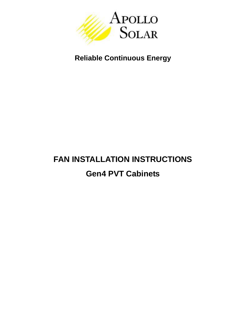

## **Reliable Continuous Energy**

# **FAN INSTALLATION INSTRUCTIONS Gen4 PVT Cabinets**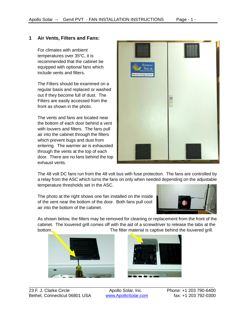#### **1 Air Vents, Filters and Fans:**

For climates with ambient temperatures over  $35^{\circ}$ C, it is recommended that the cabinet be equipped with optional fans which include vents and filters.

The Filters should be examined on a regular basis and replaced or washed out if they become full of dust. The Filters are easily accessed from the front as shown in the photo.

The vents and fans are located near the bottom of each door behind a vent with louvers and filters. The fans pull air into the cabinet through the filters which prevent bugs and dust from entering. The warmer air is exhausted through the vents at the top of each door. There are no fans behind the top exhaust vents.



The 48 volt DC fans run from the 48 volt bus with fuse protection. The fans are controlled by a relay from the ASC which turns the fans on only when needed depending on the adjustable temperature thresholds set in the ASC.

The photo at the right shows one fan installed on the inside of the vent near the bottom of the door. Both fans pull cool air into the bottom of the cabinet.



As shown below, the filters may be removed for cleaning or replacement from the front of the cabinet. The louvered grill comes off with the aid of a screwdriver to release the tabs at the bottom. The filter material is captive behind the louvered grill.





\_\_\_\_\_\_\_\_\_\_\_\_\_\_\_\_\_\_\_\_\_\_\_\_\_\_\_\_\_\_\_\_\_\_\_\_\_\_\_\_\_\_\_\_\_\_\_\_\_\_\_\_\_\_\_\_\_\_\_\_\_\_\_\_\_\_\_\_\_\_\_\_\_\_\_\_\_\_\_\_\_\_\_ 23 F. J. Clarke Circle **Apollo Solar, Inc.** Phone: +1 203 790-6400 Bethel, Connecticut 06801 USA [www.ApolloSolar.com](http://www.apollosolar.com/) fax: +1 203 792-0300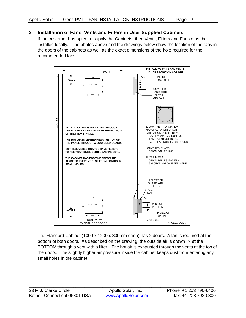### **2 Installation of Fans, Vents and Filters in User Supplied Cabinets**

If the customer has opted to supply the Cabinets, then Vents, Filters and Fans must be installed locally. The photos above and the drawings below show the location of the fans in the doors of the cabinets as well as the exact dimensions of the hole required for the recommended fans.



The Standard Cabinet (1000 x 1200 x 300mm deep) has 2 doors. A fan is required at the bottom of both doors. As described on the drawing, the outside air is drawn IN at the BOTTOM through a vent with a filter. The hot air is exhausted through the vents at the top of the doors. The slightly higher air pressure inside the cabinet keeps dust from entering any small holes in the cabinet.

\_\_\_\_\_\_\_\_\_\_\_\_\_\_\_\_\_\_\_\_\_\_\_\_\_\_\_\_\_\_\_\_\_\_\_\_\_\_\_\_\_\_\_\_\_\_\_\_\_\_\_\_\_\_\_\_\_\_\_\_\_\_\_\_\_\_\_\_\_\_\_\_\_\_\_\_\_\_\_\_\_\_\_